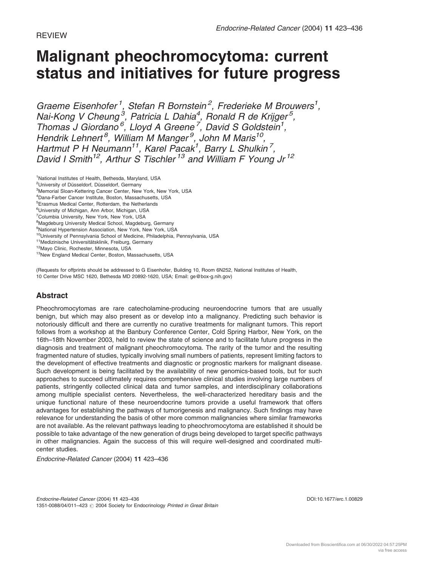# Malignant pheochromocytoma: current status and initiatives for future progress

Graeme Eisenhofer<sup>1</sup>, Stefan R Bornstein<sup>2</sup>, Frederieke M Brouwers<sup>1</sup>, Nai-Kong V Cheung<sup>3</sup>, Patricia L Dahia<sup>4</sup>, Ronald R de Krijger<sup>5</sup>, Thomas J Giordano<sup>6</sup>, Lloyd A Greene<sup>7</sup>, David S Goldstein<sup>1</sup>, Hendrik Lehnert<sup>8</sup>, William M Manger<sup>9</sup>, John M Maris<sup>10</sup>, Hartmut P H Neumann<sup>11</sup>, Karel Pacak<sup>1</sup>, Barry L Shulkin<sup>7</sup>, David I Smith<sup>12</sup>, Arthur S Tischler<sup>13</sup> and William F Young Jr<sup>12</sup>

- <sup>10</sup>University of Pennsylvania School of Medicine, Philadelphia, Pennsylvania, USA
- <sup>11</sup>Medizinische Universitätsklinik, Freiburg, Germany

(Requests for offprints should be addressed to G Eisenhofer, Building 10, Room 6N252, National Institutes of Health, 10 Center Drive MSC 1620, Bethesda MD 20892-1620, USA; Email: ge@box-g.nih.gov)

# Abstract

Pheochromocytomas are rare catecholamine-producing neuroendocrine tumors that are usually benign, but which may also present as or develop into a malignancy. Predicting such behavior is notoriously difficult and there are currently no curative treatments for malignant tumors. This report follows from a workshop at the Banbury Conference Center, Cold Spring Harbor, New York, on the 16th–18th November 2003, held to review the state of science and to facilitate future progress in the diagnosis and treatment of malignant pheochromocytoma. The rarity of the tumor and the resulting fragmented nature of studies, typically involving small numbers of patients, represent limiting factors to the development of effective treatments and diagnostic or prognostic markers for malignant disease. Such development is being facilitated by the availability of new genomics-based tools, but for such approaches to succeed ultimately requires comprehensive clinical studies involving large numbers of patients, stringently collected clinical data and tumor samples, and interdisciplinary collaborations among multiple specialist centers. Nevertheless, the well-characterized hereditary basis and the unique functional nature of these neuroendocrine tumors provide a useful framework that offers advantages for establishing the pathways of tumorigenesis and malignancy. Such findings may have relevance for understanding the basis of other more common malignancies where similar frameworks are not available. As the relevant pathways leading to pheochromocytoma are established it should be possible to take advantage of the new generation of drugs being developed to target specific pathways in other malignancies. Again the success of this will require well-designed and coordinated multicenter studies.

Endocrine-Related Cancer (2004) 11 423–436

<sup>&</sup>lt;sup>1</sup>National Institutes of Health, Bethesda, Maryland, USA

<sup>&</sup>lt;sup>2</sup>University of Düsseldorf, Düsseldorf, Germany

<sup>&</sup>lt;sup>3</sup>Memorial Sloan-Kettering Cancer Center, New York, New York, USA

<sup>4</sup> Dana-Farber Cancer Institute, Boston, Massachusetts, USA

<sup>5</sup> Erasmus Medical Center, Rotterdam, the Netherlands

<sup>6</sup> University of Michigan, Ann Arbor, Michigan, USA

<sup>7</sup> Columbia University, New York, New York, USA

<sup>&</sup>lt;sup>8</sup>Magdeburg University Medical School, Magdeburg, Germany

<sup>&</sup>lt;sup>9</sup>National Hypertension Association, New York, New York, USA

<sup>12</sup>Mayo Clinic, Rochester, Minnesota, USA

<sup>13</sup>New England Medical Center, Boston, Massachusetts, USA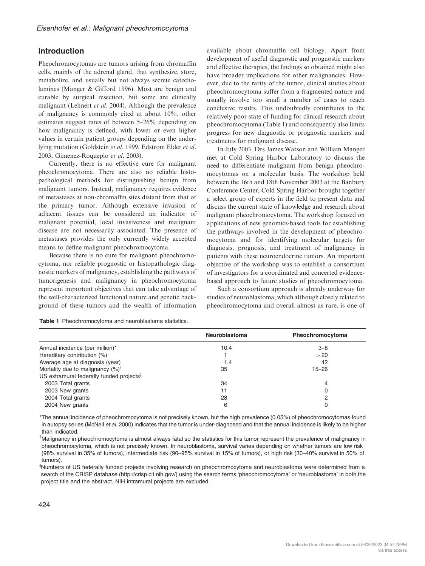# Introduction

Pheochromocytomas are tumors arising from chromaffin cells, mainly of the adrenal gland, that synthesize, store, metabolize, and usually but not always secrete catecholamines (Manger & Gifford 1996). Most are benign and curable by surgical resection, but some are clinically malignant (Lehnert et al. 2004). Although the prevalence of malignancy is commonly cited at about 10%, other estimates suggest rates of between 5–26% depending on how malignancy is defined, with lower or even higher values in certain patient groups depending on the underlying mutation (Goldstein et al. 1999, Edstrom Elder et al. 2003, Gimenez-Roqueplo et al. 2003).

Currently, there is no effective cure for malignant pheochromocytoma. There are also no reliable histopathological methods for distinguishing benign from malignant tumors. Instead, malignancy requires evidence of metastases at non-chromaffin sites distant from that of the primary tumor. Although extensive invasion of adjacent tissues can be considered an indicator of malignant potential, local invasiveness and malignant disease are not necessarily associated. The presence of metastases provides the only currently widely accepted means to define malignant pheochromocytoma.

Because there is no cure for malignant pheochromocytoma, nor reliable prognostic or histopathologic diagnostic markers of malignancy, establishing the pathways of tumorigenesis and malignancy in pheochromocytoma represent important objectives that can take advantage of the well-characterized functional nature and genetic background of these tumors and the wealth of information available about chromaffin cell biology. Apart from development of useful diagnostic and prognostic markers and effective therapies, the findings so obtained might also have broader implications for other malignancies. However, due to the rarity of the tumor, clinical studies about pheochromocytoma suffer from a fragmented nature and usually involve too small a number of cases to reach conclusive results. This undoubtedly contributes to the relatively poor state of funding for clinical research about pheochromocytoma (Table 1) and consequently also limits progress for new diagnostic or prognostic markers and treatments for malignant disease.

In July 2003, Drs James Watson and William Manger met at Cold Spring Harbor Laboratory to discuss the need to differentiate malignant from benign pheochromocytomas on a molecular basis. The workshop held between the 16th and 18th November 2003 at the Banbury Conference Center, Cold Spring Harbor brought together a select group of experts in the field to present data and discuss the current state of knowledge and research about malignant pheochromocytoma. The workshop focused on applications of new genomics-based tools for establishing the pathways involved in the development of pheochromocytoma and for identifying molecular targets for diagnosis, prognosis, and treatment of malignancy in patients with these neuroendocrine tumors. An important objective of the workshop was to establish a consortium of investigators for a coordinated and concerted evidencebased approach to future studies of pheochromocytoma.

Such a consortium approach is already underway for studies of neuroblastoma, which although closely related to pheochromocytoma and overall almost as rare, is one of

| <b>Table 1</b> Pheochromocytoma and neuroblastoma statistics. |  |
|---------------------------------------------------------------|--|
|                                                               |  |

| <b>Neuroblastoma</b><br>Pheochromocytoma<br>10.4<br>$3 - 8$<br>> 20<br>42<br>1.4<br>35<br>$15 - 26$<br>2003 Total grants<br>34<br>4<br>2003 New grants<br>11<br>0<br>2004 Total grants<br>28<br>っ<br>2004 New grants<br>6 |                                                      |  |
|---------------------------------------------------------------------------------------------------------------------------------------------------------------------------------------------------------------------------|------------------------------------------------------|--|
|                                                                                                                                                                                                                           |                                                      |  |
|                                                                                                                                                                                                                           | Annual incidence (per million)*                      |  |
|                                                                                                                                                                                                                           | Hereditary contribution (%)                          |  |
|                                                                                                                                                                                                                           | Average age at diagnosis (year)                      |  |
|                                                                                                                                                                                                                           | Mortality due to malignancy $(%)^{\dagger}$          |  |
|                                                                                                                                                                                                                           | US extramural federally funded projects <sup>§</sup> |  |
|                                                                                                                                                                                                                           |                                                      |  |
|                                                                                                                                                                                                                           |                                                      |  |
|                                                                                                                                                                                                                           |                                                      |  |
|                                                                                                                                                                                                                           |                                                      |  |

\*The annual incidence of pheochromocytoma is not precisely known, but the high prevalence (0.05%) of pheochromocytomas found in autopsy series (McNeil et al. 2000) indicates that the tumor is under-diagnosed and that the annual incidence is likely to be higher than indicated.

<sup>\*</sup>Malignancy in pheochromocytoma is almost always fatal so the statistics for this tumor represent the prevalence of malignancy in pheochromocytoma, which is not precisely known. In neuroblastoma, survival varies depending on whether tumors are low risk (98% survival in 35% of tumors), intermediate risk (90–95% survival in 15% of tumors), or high risk (30–40% survival in 50% of tumors).

<sup>8</sup>Numbers of US federally funded projects involving research on pheochromocytoma and neuroblastoma were determined from a search of the CRISP database (http://crisp.cit.nih.gov/) using the search terms 'pheochromocytoma' or 'neuroblastoma' in both the project title and the abstract. NIH intramural projects are excluded.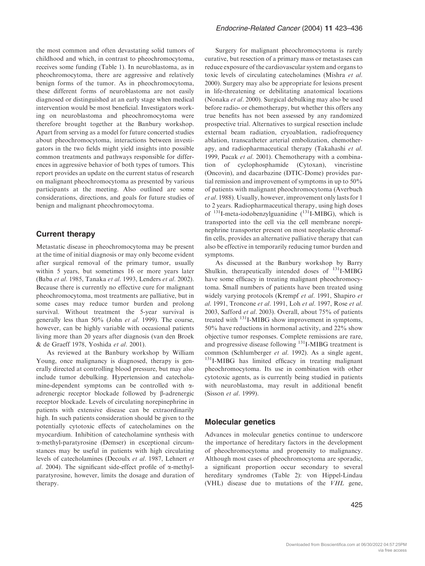the most common and often devastating solid tumors of childhood and which, in contrast to pheochromocytoma, receives some funding (Table 1). In neuroblastoma, as in pheochromocytoma, there are aggressive and relatively benign forms of the tumor. As in pheochromocytoma, these different forms of neuroblastoma are not easily diagnosed or distinguished at an early stage when medical intervention would be most beneficial. Investigators working on neuroblastoma and pheochromocytoma were therefore brought together at the Banbury workshop. Apart from serving as a model for future concerted studies about pheochromocytoma, interactions between investigators in the two fields might yield insights into possible common treatments and pathways responsible for differences in aggressive behavior of both types of tumors. This report provides an update on the current status of research on malignant pheochromocytoma as presented by various participants at the meeting. Also outlined are some considerations, directions, and goals for future studies of benign and malignant pheochromocytoma.

# Current therapy

Metastatic disease in pheochromocytoma may be present at the time of initial diagnosis or may only become evident after surgical removal of the primary tumor, usually within 5 years, but sometimes 16 or more years later (Baba et al. 1985, Tanaka et al. 1993, Lenders et al. 2002). Because there is currently no effective cure for malignant pheochromocytoma, most treatments are palliative, but in some cases may reduce tumor burden and prolong survival. Without treatment the 5-year survival is generally less than 50% (John et al. 1999). The course, however, can be highly variable with occasional patients living more than 20 years after diagnosis (van den Broek & de Graeff 1978, Yoshida et al. 2001).

As reviewed at the Banbury workshop by William Young, once malignancy is diagnosed, therapy is generally directed at controlling blood pressure, but may also include tumor debulking. Hypertension and catecholamine-dependent symptoms can be controlled with  $\alpha$ adrenergic receptor blockade followed by b-adrenergic receptor blockade. Levels of circulating norepinephrine in patients with extensive disease can be extraordinarily high. In such patients consideration should be given to the potentially cytotoxic effects of catecholamines on the myocardium. Inhibition of catecholamine synthesis with a-methyl-paratyrosine (Demser) in exceptional circumstances may be useful in patients with high circulating levels of catecholamines (Decoulx et al. 1987, Lehnert et al. 2004). The significant side-effect profile of  $\alpha$ -methylparatyrosine, however, limits the dosage and duration of therapy.

Surgery for malignant pheochromocytoma is rarely curative, but resection of a primary mass or metastases can reduce exposure of the cardiovascular system and organs to toxic levels of circulating catecholamines (Mishra et al. 2000). Surgery may also be appropriate for lesions present in life-threatening or debilitating anatomical locations (Nonaka et al. 2000). Surgical debulking may also be used before radio- or chemotherapy, but whether this offers any true benefits has not been assessed by any randomized prospective trial. Alternatives to surgical resection include external beam radiation, cryoablation, radiofrequency ablation, transcatheter arterial embolization, chemotherapy, and radiopharmaceutical therapy (Takahashi et al. 1999, Pacak et al. 2001). Chemotherapy with a combination of cyclophosphamide (Cytoxan), vincristine (Oncovin), and dacarbazine (DTIC-Dome) provides partial remission and improvement of symptoms in up to 50% of patients with malignant pheochromocytoma (Averbuch et al. 1988). Usually, however, improvement only lasts for 1 to 2 years. Radiopharmaceutical therapy, using high doses of  $^{131}$ I-meta-iodobenzylguanidine  $(^{131}$ I-MIBG), which is transported into the cell via the cell membrane norepinephrine transporter present on most neoplastic chromaffin cells, provides an alternative palliative therapy that can also be effective in temporarily reducing tumor burden and symptoms.

As discussed at the Banbury workshop by Barry Shulkin, therapeutically intended doses of <sup>131</sup>I-MIBG have some efficacy in treating malignant pheochromocytoma. Small numbers of patients have been treated using widely varying protocols (Krempf et al. 1991, Shapiro et al. 1991, Troncone et al. 1991, Loh et al. 1997, Rose et al. 2003, Safford et al. 2003). Overall, about 75% of patients treated with  $131$ I-MIBG show improvement in symptoms, 50% have reductions in hormonal activity, and 22% show objective tumor responses. Complete remissions are rare, and progressive disease following <sup>131</sup>I-MIBG treatment is common (Schlumberger et al. 1992). As a single agent, <sup>131</sup>I-MIBG has limited efficacy in treating malignant pheochromocytoma. Its use in combination with other cytotoxic agents, as is currently being studied in patients with neuroblastoma, may result in additional benefit (Sisson et al. 1999).

### Molecular genetics

Advances in molecular genetics continue to underscore the importance of hereditary factors in the development of pheochromocytoma and propensity to malignancy. Although most cases of pheochromocytoma are sporadic, a significant proportion occur secondary to several hereditary syndromes (Table 2): von Hippel-Lindau (VHL) disease due to mutations of the VHL gene,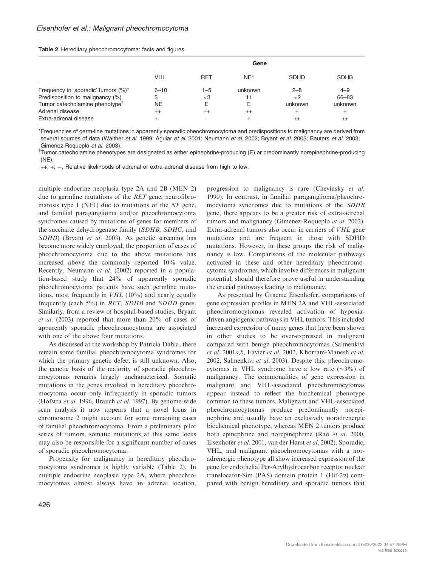|  | Table 2 Hereditary pheochromocytoma: facts and figures. |  |
|--|---------------------------------------------------------|--|
|--|---------------------------------------------------------|--|

|                                            | Gene       |            |                 |             |             |
|--------------------------------------------|------------|------------|-----------------|-------------|-------------|
|                                            | <b>VHL</b> | <b>RET</b> | NF <sub>1</sub> | <b>SDHD</b> | <b>SDHB</b> |
| Frequency in 'sporadic' tumors (%)*        | $6 - 10$   | $1 - 5$    | unknown         | $2 - 8$     | $4 - 9$     |
| Predisposition to malignancy (%)           |            | $<$ 3      | 11              | -2          | 66-83       |
| Tumor catecholamine phenotype <sup>†</sup> | <b>NE</b>  | Е          | Е               | unknown     | unknown     |
| Adrenal disease                            | $^{++}$    | $^{++}$    | $^{++}$         | +           | +           |
| Extra-adrenal disease                      |            |            | $\pm$           | $^{++}$     | $^{++}$     |

\*Frequencies of germ-line mutations in apparently sporadic pheochromocytoma and predispositions to malignancy are derived from several sources of data (Walther et al. 1999; Aguiar et al. 2001; Neumann et al. 2002; Bryant et al. 2003; Bauters et al. 2003; Gimenez-Roqueplo et al. 2003).

Tumor catecholamine phenotypes are designated as either epinephrine-producing (E) or predominantly norepinephrine-producing (NE).

++; +; -, Relative likelihoods of adrenal or extra-adrenal disease from high to low.

multiple endocrine neoplasia type 2A and 2B (MEN 2) due to germline mutations of the RET gene, neurofibromatosis type 1 (NF1) due to mutations of the NF gene, and familial paraganglioma and/or pheochromocytoma syndromes caused by mutations of genes for members of the succinate dehydrogenase family (SDHB, SDHC, and SDHD) (Bryant et al. 2003). As genetic screening has become more widely employed, the proportion of cases of pheochromocytoma due to the above mutations has increased above the commonly reported 10% value. Recently, Neumann et al. (2002) reported in a population-based study that 24% of apparently sporadic pheochromocytoma patients have such germline mutations, most frequently in VHL (10%) and nearly equally frequently (each 5%) in RET, SDHB and SDHD genes. Similarly, from a review of hospital-based studies, Bryant et al. (2003) reported that more than 20% of cases of apparently sporadic pheochromocytoma are associated with one of the above four mutations.

As discussed at the workshop by Patricia Dahia, there remain some familial pheochromocytoma syndromes for which the primary genetic defect is still unknown. Also, the genetic basis of the majority of sporadic pheochromocytomas remains largely uncharacterized. Somatic mutations in the genes involved in hereditary pheochromocytoma occur only infrequently in sporadic tumors (Hofstra et al. 1996, Brauch et al. 1997). By genome-wide scan analysis it now appears that a novel locus in chromosome 2 might account for some remaining cases of familial pheochromocytoma. From a preliminary pilot series of tumors, somatic mutations at this same locus may also be responsible for a significant number of cases of sporadic pheochromocytoma.

Propensity for malignancy in hereditary pheochromocytoma syndromes is highly variable (Table 2). In multiple endocrine neoplasia type 2A, where pheochromocytomas almost always have an adrenal location, progression to malignancy is rare (Chevinsky et al. 1990). In contrast, in familial paraganglioma/pheochromocytoma syndromes due to mutations of the SDHB gene, there appears to be a greater risk of extra-adrenal tumors and malignancy (Gimenez-Roqueplo et al. 2003). Extra-adrenal tumors also occur in carriers of VHL gene mutations and are frequent in those with SDHD mutations. However, in these groups the risk of malignancy is low. Comparisons of the molecular pathways activated in these and other hereditary pheochromocytoma syndromes, which involve differences in malignant potential, should therefore prove useful in understanding the crucial pathways leading to malignancy.

As presented by Graeme Eisenhofer, comparisons of gene expression profiles in MEN 2A and VHL-associated pheochromocytomas revealed activation of hypoxiadriven angiogenic pathways in VHL tumors. This included increased expression of many genes that have been shown in other studies to be over-expressed in malignant compared with benign pheochromocytomas (Salmenkivi et al. 2001a,b, Favier et al. 2002, Khorram-Manesh et al. 2002, Salmenkivi et al. 2003). Despite this, pheochromocytomas in VHL syndrome have a low rate  $(\sim 3\%)$  of malignancy. The commonalities of gene expression in malignant and VHL-associated pheochromocytomas appear instead to reflect the biochemical phenotype common to these tumors. Malignant and VHL-associated pheochromocytomas produce predominantly norepinephrine and usually have an exclusively noradrenergic biochemical phenotype, whereas MEN 2 tumors produce both epinephrine and norepinephrine (Rao et al. 2000, Eisenhofer et al. 2001, van der Harst et al. 2002). Sporadic, VHL, and malignant pheochromocytomas with a noradrenergic phenotype all show increased expression of the gene for endothelial Per-Arylhydrocarbon receptor nuclear translocator-Sim (PAS) domain protein 1 (Hif-2 $\alpha$ ) compared with benign hereditary and sporadic tumors that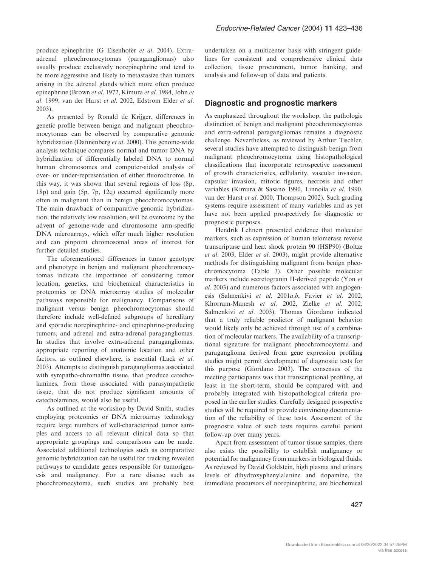produce epinephrine (G Eisenhofer et al. 2004). Extraadrenal pheochromocytomas (paragangliomas) also usually produce exclusively norepinephrine and tend to be more aggressive and likely to metastasize than tumors arising in the adrenal glands which more often produce epinephrine (Brown et al. 1972, Kimura et al. 1984, John et al. 1999, van der Harst et al. 2002, Edstrom Elder et al. 2003).

As presented by Ronald de Krijger, differences in genetic profile between benign and malignant pheochromocytomas can be observed by comparative genomic hybridization (Dannenberg et al. 2000). This genome-wide analysis technique compares normal and tumor DNA by hybridization of differentially labeled DNA to normal human chromosomes and computer-aided analysis of over- or under-representation of either fluorochrome. In this way, it was shown that several regions of loss (8p, 18p) and gain (5p, 7p, 12q) occurred significantly more often in malignant than in benign pheochromocytomas. The main drawback of comparative genomic hybridization, the relatively low resolution, will be overcome by the advent of genome-wide and chromosome arm-specific DNA microarrays, which offer much higher resolution and can pinpoint chromosomal areas of interest for further detailed studies.

The aforementioned differences in tumor genotype and phenotype in benign and malignant pheochromocytomas indicate the importance of considering tumor location, genetics, and biochemical characteristics in proteomics or DNA microarray studies of molecular pathways responsible for malignancy. Comparisons of malignant versus benign pheochromocytomas should therefore include well-defined subgroups of hereditary and sporadic norepinephrine- and epinephrine-producing tumors, and adrenal and extra-adrenal paragangliomas. In studies that involve extra-adrenal paragangliomas, appropriate reporting of anatomic location and other factors, as outlined elsewhere, is essential (Lack et al. 2003). Attempts to distinguish paragangliomas associated with sympatho-chromaffin tissue, that produce catecholamines, from those associated with parasympathetic tissue, that do not produce significant amounts of catecholamines, would also be useful.

As outlined at the workshop by David Smith, studies employing proteomics or DNA microarray technology require large numbers of well-characterized tumor samples and access to all relevant clinical data so that appropriate groupings and comparisons can be made. Associated additional technologies such as comparative genomic hybridization can be useful for tracking revealed pathways to candidate genes responsible for tumorigenesis and malignancy. For a rare disease such as pheochromocytoma, such studies are probably best

undertaken on a multicenter basis with stringent guidelines for consistent and comprehensive clinical data collection, tissue procurement, tumor banking, and analysis and follow-up of data and patients.

# Diagnostic and prognostic markers

As emphasized throughout the workshop, the pathologic distinction of benign and malignant pheochromocytomas and extra-adrenal paragangliomas remains a diagnostic challenge. Nevertheless, as reviewed by Arthur Tischler, several studies have attempted to distinguish benign from malignant pheochromocytoma using histopathological classifications that incorporate retrospective assessment of growth characteristics, cellularity, vascular invasion, capsular invasion, mitotic figures, necrosis and other variables (Kimura & Sasano 1990, Linnoila et al. 1990, van der Harst et al. 2000, Thompson 2002). Such grading systems require assessment of many variables and as yet have not been applied prospectively for diagnostic or prognostic purposes.

Hendrik Lehnert presented evidence that molecular markers, such as expression of human telomerase reverse transcriptase and heat shock protein 90 (HSP90) (Boltze et al. 2003, Elder et al. 2003), might provide alternative methods for distinguishing malignant from benign pheochromocytoma (Table 3). Other possible molecular markers include secretogranin II-derived peptide (Yon et al. 2003) and numerous factors associated with angiogenesis (Salmenkivi et al. 2001a,b, Favier et al. 2002, Khorram-Manesh et al. 2002, Zielke et al. 2002, Salmenkivi et al. 2003). Thomas Giordano indicated that a truly reliable predictor of malignant behavior would likely only be achieved through use of a combination of molecular markers. The availability of a transcriptional signature for malignant pheochromocytoma and paraganglioma derived from gene expression profiling studies might permit development of diagnostic tests for this purpose (Giordano 2003). The consensus of the meeting participants was that transcriptional profiling, at least in the short-term, should be compared with and probably integrated with histopathological criteria proposed in the earlier studies. Carefully designed prospective studies will be required to provide convincing documentation of the reliability of these tests. Assessment of the prognostic value of such tests requires careful patient follow-up over many years.

Apart from assessment of tumor tissue samples, there also exists the possibility to establish malignancy or potential for malignancy from markers in biological fluids. As reviewed by David Goldstein, high plasma and urinary levels of dihydroxyphenylalanine and dopamine, the immediate precursors of norepinephrine, are biochemical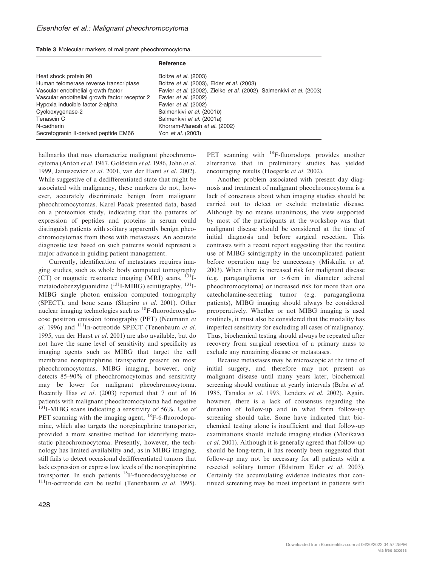| Table 3 Molecular markers of malignant pheochromocytoma. |
|----------------------------------------------------------|
|                                                          |

|                                               | <b>Reference</b>                                                     |
|-----------------------------------------------|----------------------------------------------------------------------|
| Heat shock protein 90                         | Boltze <i>et al.</i> (2003)                                          |
| Human telomerase reverse transcriptase        | Boltze et al. (2003), Elder et al. (2003)                            |
| Vascular endothelial growth factor            | Favier et al. (2002), Zielke et al. (2002), Salmenkivi et al. (2003) |
| Vascular endothelial growth factor receptor 2 | Favier et al. (2002)                                                 |
| Hypoxia inducible factor 2-alpha              | Favier et al. (2002)                                                 |
| Cyclooxygenase-2                              | Salmenkivi et al. (2001b)                                            |
| Tenascin C                                    | Salmenkivi et al. (2001a)                                            |
| N-cadherin                                    | Khorram-Manesh et al. (2002)                                         |
| Secretogranin II-derived peptide EM66         | Yon et al. (2003)                                                    |

hallmarks that may characterize malignant pheochromocytoma (Anton et al. 1967, Goldstein et al. 1986, John et al. 1999, Januszewicz et al. 2001, van der Harst et al. 2002). While suggestive of a dedifferentiated state that might be associated with malignancy, these markers do not, however, accurately discriminate benign from malignant pheochromocytomas. Karel Pacak presented data, based on a proteomics study, indicating that the patterns of expression of peptides and proteins in serum could distinguish patients with solitary apparently benign pheochromocytomas from those with metastases. An accurate diagnostic test based on such patterns would represent a major advance in guiding patient management.

Currently, identification of metastases requires imaging studies, such as whole body computed tomography (CT) or magnetic resonance imaging (MRI) scans,  $^{131}$ Imetaiodobenzylguanidine  $(^{131}I-MIBG)$  scintigraphy,  $^{131}I-$ MIBG single photon emission computed tomography (SPECT), and bone scans (Shapiro et al. 2001). Other nuclear imaging technologies such as  ${}^{18}$ F-fluorodeoxyglucose positron emission tomography (PET) (Neumann et al. 1996) and  $111$ In-octreotide SPECT (Tenenbaum et al. 1995, van der Harst et al. 2001) are also available, but do not have the same level of sensitivity and specificity as imaging agents such as MIBG that target the cell membrane norepinephrine transporter present on most pheochromocytomas. MIBG imaging, however, only detects 85–90% of pheochromocytomas and sensitivity may be lower for malignant pheochromocytoma. Recently Ilias et al. (2003) reported that 7 out of 16 patients with malignant pheochromocytoma had negative <sup>131</sup>I-MIBG scans indicating a sensitivity of 56%. Use of PET scanning with the imaging agent, <sup>18</sup>F-6-fluorodopamine, which also targets the norepinephrine transporter, provided a more sensitive method for identifying metastatic pheochromocytoma. Presently, however, the technology has limited availability and, as in MIBG imaging, still fails to detect occasional dedifferentiated tumors that lack expression or express low levels of the norepinephrine transporter. In such patients 18F-fluorodeoxyglucose or  $111$ In-octreotide can be useful (Tenenbaum et al. 1995). PET scanning with  $^{18}$ F-fluorodopa provides another alternative that in preliminary studies has yielded encouraging results (Hoegerle et al. 2002).

Another problem associated with present day diagnosis and treatment of malignant pheochromocytoma is a lack of consensus about when imaging studies should be carried out to detect or exclude metastatic disease. Although by no means unanimous, the view supported by most of the participants at the workshop was that malignant disease should be considered at the time of initial diagnosis and before surgical resection. This contrasts with a recent report suggesting that the routine use of MIBG scintigraphy in the uncomplicated patient before operation may be unnecessary (Miskulin et al. 2003). When there is increased risk for malignant disease (e.g. paraganglioma or  $> 6$  cm in diameter adrenal pheochromocytoma) or increased risk for more than one catecholamine-secreting tumor (e.g. paraganglioma patients), MIBG imaging should always be considered preoperatively. Whether or not MIBG imaging is used routinely, it must also be considered that the modality has imperfect sensitivity for excluding all cases of malignancy. Thus, biochemical testing should always be repeated after recovery from surgical resection of a primary mass to exclude any remaining disease or metastases.

Because metastases may be microscopic at the time of initial surgery, and therefore may not present as malignant disease until many years later, biochemical screening should continue at yearly intervals (Baba et al. 1985, Tanaka et al. 1993, Lenders et al. 2002). Again, however, there is a lack of consensus regarding the duration of follow-up and in what form follow-up screening should take. Some have indicated that biochemical testing alone is insufficient and that follow-up examinations should include imaging studies (Morikawa et al. 2001). Although it is generally agreed that follow-up should be long-term, it has recently been suggested that follow-up may not be necessary for all patients with a resected solitary tumor (Edstrom Elder et al. 2003). Certainly the accumulating evidence indicates that continued screening may be most important in patients with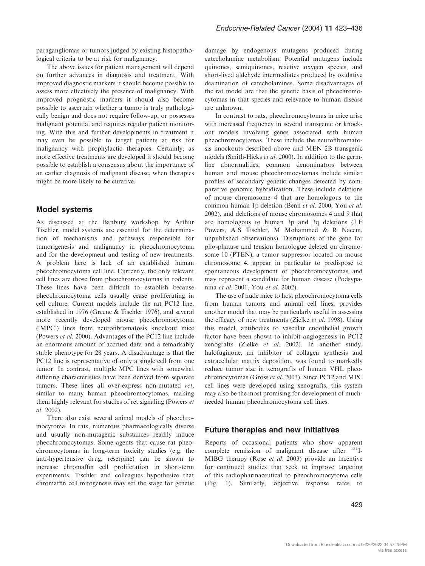paragangliomas or tumors judged by existing histopathological criteria to be at risk for malignancy.

The above issues for patient management will depend on further advances in diagnosis and treatment. With improved diagnostic markers it should become possible to assess more effectively the presence of malignancy. With improved prognostic markers it should also become possible to ascertain whether a tumor is truly pathologically benign and does not require follow-up, or possesses malignant potential and requires regular patient monitoring. With this and further developments in treatment it may even be possible to target patients at risk for malignancy with prophylactic therapies. Certainly, as more effective treatments are developed it should become possible to establish a consensus about the importance of an earlier diagnosis of malignant disease, when therapies might be more likely to be curative.

## Model systems

As discussed at the Banbury workshop by Arthur Tischler, model systems are essential for the determination of mechanisms and pathways responsible for tumorigenesis and malignancy in pheochromocytoma and for the development and testing of new treatments. A problem here is lack of an established human pheochromocytoma cell line. Currently, the only relevant cell lines are those from pheochromocytomas in rodents. These lines have been difficult to establish because pheochromocytoma cells usually cease proliferating in cell culture. Current models include the rat PC12 line, established in 1976 (Greene & Tischler 1976), and several more recently developed mouse pheochromocytoma ('MPC') lines from neurofibromatosis knockout mice (Powers et al. 2000). Advantages of the PC12 line include an enormous amount of accrued data and a remarkably stable phenotype for 28 years. A disadvantage is that the PC12 line is representative of only a single cell from one tumor. In contrast, multiple MPC lines with somewhat differing characteristics have been derived from separate tumors. These lines all over-express non-mutated ret, similar to many human pheochromocytomas, making them highly relevant for studies of ret signaling (Powers et al. 2002).

There also exist several animal models of pheochromocytoma. In rats, numerous pharmacologically diverse and usually non-mutagenic substances readily induce pheochromocytomas. Some agents that cause rat pheochromocytomas in long-term toxicity studies (e.g. the anti-hypertensive drug, reserpine) can be shown to increase chromaffin cell proliferation in short-term experiments. Tischler and colleagues hypothesize that chromaffin cell mitogenesis may set the stage for genetic

damage by endogenous mutagens produced during catecholamine metabolism. Potential mutagens include quinones, semiquinones, reactive oxygen species, and short-lived aldehyde intermediates produced by oxidative deamination of catecholamines. Some disadvantages of the rat model are that the genetic basis of pheochromocytomas in that species and relevance to human disease are unknown.

In contrast to rats, pheochromocytomas in mice arise with increased frequency in several transgenic or knockout models involving genes associated with human pheochromocytomas. These include the neurofibromatosis knockouts described above and MEN 2B transgenic models (Smith-Hicks et al. 2000). In addition to the germline abnormalities, common denominators between human and mouse pheochromocytomas include similar profiles of secondary genetic changes detected by comparative genomic hybridization. These include deletions of mouse chromosome 4 that are homologous to the common human 1p deletion (Benn et al. 2000, You et al. 2002), and deletions of mouse chromosomes 4 and 9 that are homologous to human 3p and 3q deletions (J F Powers, A S Tischler, M Mohammed & R Naeem, unpublished observations). Disruptions of the gene for phosphatase and tension homologue deleted on chromosome 10 (PTEN), a tumor suppressor located on mouse chromosome 4, appear in particular to predispose to spontaneous development of pheochromocytomas and may represent a candidate for human disease (Podsypanina et al. 2001, You et al. 2002).

The use of nude mice to host pheochromocytoma cells from human tumors and animal cell lines, provides another model that may be particularly useful in assessing the efficacy of new treatments (Zielke et al. 1998). Using this model, antibodies to vascular endothelial growth factor have been shown to inhibit angiogenesis in PC12 xenografts (Zielke et al. 2002). In another study, halofuginone, an inhibitor of collagen synthesis and extracellular matrix deposition, was found to markedly reduce tumor size in xenografts of human VHL pheochromocytomas (Gross et al. 2003). Since PC12 and MPC cell lines were developed using xenografts, this system may also be the most promising for development of muchneeded human pheochromocytoma cell lines.

### Future therapies and new initiatives

Reports of occasional patients who show apparent complete remission of malignant disease after  $^{131}$ I-MIBG therapy (Rose et al. 2003) provide an incentive for continued studies that seek to improve targeting of this radiopharmaceutical to pheochromocytoma cells (Fig. 1). Similarly, objective response rates to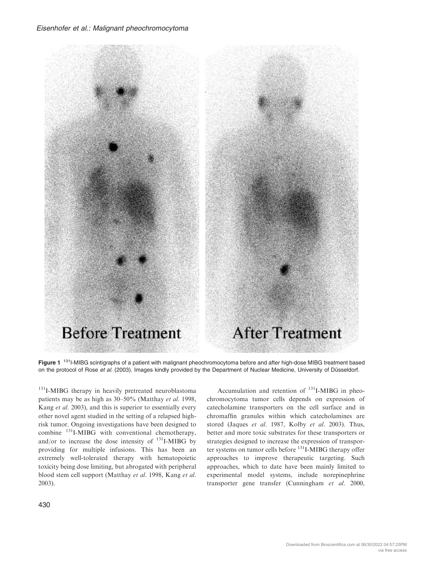## Eisenhofer et al.: Malignant pheochromocytoma



Figure 1<sup>131</sup>I-MIBG scintigraphs of a patient with malignant pheochromocytoma before and after high-dose MIBG treatment based on the protocol of Rose et al. (2003). Images kindly provided by the Department of Nuclear Medicine, University of Düsseldorf.

<sup>131</sup>I-MIBG therapy in heavily pretreated neuroblastoma patients may be as high as 30–50% (Matthay et al. 1998, Kang et al. 2003), and this is superior to essentially every other novel agent studied in the setting of a relapsed highrisk tumor. Ongoing investigations have been designed to combine  $^{131}$ I-MIBG with conventional chemotherapy, and/or to increase the dose intensity of  $^{131}$ I-MIBG by providing for multiple infusions. This has been an extremely well-tolerated therapy with hematopoietic toxicity being dose limiting, but abrogated with peripheral blood stem cell support (Matthay et al. 1998, Kang et al. 2003).

Accumulation and retention of <sup>131</sup>I-MIBG in pheochromocytoma tumor cells depends on expression of catecholamine transporters on the cell surface and in chromaffin granules within which catecholamines are stored (Jaques et al. 1987, Kolby et al. 2003). Thus, better and more toxic substrates for these transporters or strategies designed to increase the expression of transporter systems on tumor cells before <sup>131</sup>I-MIBG therapy offer approaches to improve therapeutic targeting. Such approaches, which to date have been mainly limited to experimental model systems, include norepinephrine transporter gene transfer (Cunningham et al. 2000,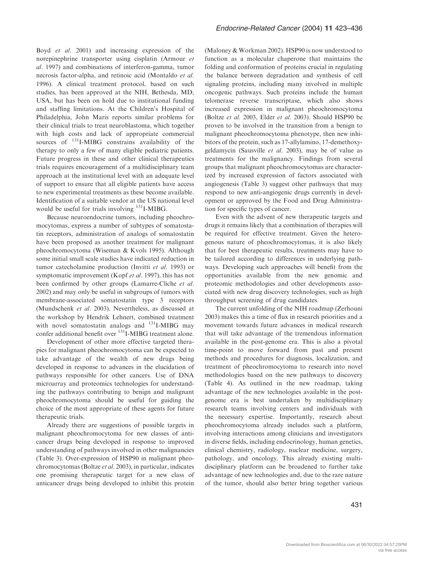Boyd et al. 2001) and increasing expression of the norepinephrine transporter using cisplatin (Armour et al. 1997) and combinations of interferon-gamma, tumor necrosis factor-alpha, and retinoic acid (Montaldo et al. 1996). A clinical treatment protocol, based on such studies, has been approved at the NIH, Bethesda, MD, USA, but has been on hold due to institutional funding and staffing limitations. At the Children's Hospital of Philadelphia, John Maris reports similar problems for their clinical trials to treat neuroblastoma, which together with high costs and lack of appropriate commercial sources of <sup>131</sup>I-MIBG constrains availability of the therapy to only a few of many eligible pediatric patients. Future progress in these and other clinical therapeutics trials requires encouragement of a multidisciplinary team approach at the institutional level with an adequate level of support to ensure that all eligible patients have access to new experimental treatments as these become available. Identification of a suitable vendor at the US national level would be useful for trials involving  $^{131}$ I-MIBG.

Because neuroendocrine tumors, including pheochromocytomas, express a number of subtypes of somatostatin receptors, administration of analogs of somatostatin have been proposed as another treatment for malignant pheochromocytoma (Wiseman & Kvols 1995). Although some initial small scale studies have indicated reduction in tumor catecholamine production (Invitti et al. 1993) or symptomatic improvement (Kopf et al. 1997), this has not been confirmed by other groups (Lamarre-Cliche et al. 2002) and may only be useful in subgroups of tumors with membrane-associated somatostatin type 3 receptors (Mundschenk et al. 2003). Nevertheless, as discussed at the workshop by Hendrik Lehnert, combined treatment with novel somatostatin analogs and  $^{131}$ I-MIBG may confer additional benefit over <sup>131</sup>I-MIBG treatment alone.

Development of other more effective targeted therapies for malignant pheochromocytoma can be expected to take advantage of the wealth of new drugs being developed in response to advances in the elucidation of pathways responsible for other cancers. Use of DNA microarray and proteomics technologies for understanding the pathways contributing to benign and malignant pheochromocytoma should be useful for guiding the choice of the most appropriate of these agents for future therapeutic trials.

Already there are suggestions of possible targets in malignant pheochromocytoma for new classes of anticancer drugs being developed in response to improved understanding of pathways involved in other malignancies (Table 3). Over-expression of HSP90 in malignant pheochromocytomas (Boltze et al. 2003), in particular, indicates one promising therapeutic target for a new class of anticancer drugs being developed to inhibit this protein (Maloney & Workman 2002). HSP90 is now understood to function as a molecular chaperone that maintains the folding and conformation of proteins crucial in regulating the balance between degradation and synthesis of cell signaling proteins, including many involved in multiple oncogenic pathways. Such proteins include the human telomerase reverse transcriptase, which also shows increased expression in malignant pheochromocytoma (Boltze et al. 2003, Elder et al. 2003). Should HSP90 be proven to be involved in the transition from a benign to malignant pheochromocytoma phenotype, then new inhibitors of the protein, such as 17-allylamino, 17-demethoxygeldamycin (Sausville et al. 2003), may be of value as treatments for the malignancy. Findings from several groups that malignant pheochromocytomas are characterized by increased expression of factors associated with angiogenesis (Table 3) suggest other pathways that may respond to new anti-angiogenic drugs currently in development or approved by the Food and Drug Administration for specific types of cancer.

Even with the advent of new therapeutic targets and drugs it remains likely that a combination of therapies will be required for effective treatment. Given the heterogenous nature of pheochromocytomas, it is also likely that for best therapeutic results, treatments may have to be tailored according to differences in underlying pathways. Developing such approaches will benefit from the opportunities available from the new genomic and proteomic methodologies and other developments associated with new drug discovery technologies, such as high throughput screening of drug candidates.

The current unfolding of the NIH roadmap (Zerhouni 2003) makes this a time of flux in research priorities and a movement towards future advances in medical research that will take advantage of the tremendous information available in the post-genome era. This is also a pivotal time-point to move forward from past and present methods and procedures for diagnosis, localization, and treatment of pheochromocytoma to research into novel methodologies based on the new pathways to discovery (Table 4). As outlined in the new roadmap, taking advantage of the new technologies available in the postgenome era is best undertaken by multidisciplinary research teams involving centers and individuals with the necessary expertise. Importantly, research about pheochromocytoma already includes such a platform, involving interactions among clinicians and investigators in diverse fields, including endocrinology, human genetics, clinical chemistry, radiology, nuclear medicine, surgery, pathology, and oncology. This already existing multidisciplinary platform can be broadened to further take advantage of new technologies and, due to the rare nature of the tumor, should also better bring together various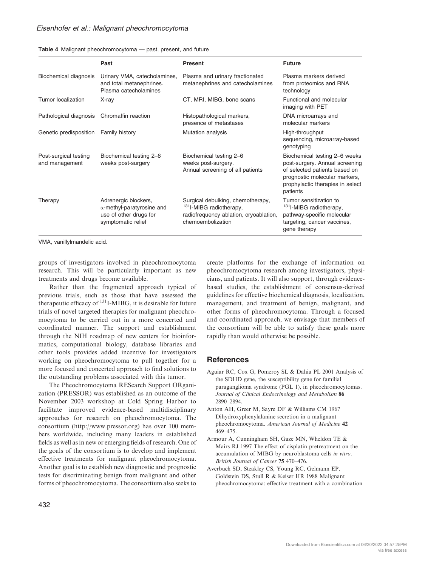|  |  | <b>Table 4</b> Malignant pheochromocytoma - past, present, and future |  |  |  |  |
|--|--|-----------------------------------------------------------------------|--|--|--|--|
|--|--|-----------------------------------------------------------------------|--|--|--|--|

|                                            | Past                                                                                              | <b>Present</b>                                                                                                                          | <b>Future</b>                                                                                                                                                                     |
|--------------------------------------------|---------------------------------------------------------------------------------------------------|-----------------------------------------------------------------------------------------------------------------------------------------|-----------------------------------------------------------------------------------------------------------------------------------------------------------------------------------|
| Biochemical diagnosis                      | Urinary VMA, catecholamines,<br>and total metanephrines.<br>Plasma catecholamines                 | Plasma and urinary fractionated<br>metanephrines and catecholamines                                                                     | Plasma markers derived<br>from proteomics and RNA<br>technology                                                                                                                   |
| Tumor localization                         | X-ray                                                                                             | CT, MRI, MIBG, bone scans                                                                                                               | Functional and molecular<br>imaging with PET                                                                                                                                      |
| Pathological diagnosis Chromaffin reaction |                                                                                                   | Histopathological markers,<br>presence of metastases                                                                                    | DNA microarrays and<br>molecular markers                                                                                                                                          |
| Genetic predisposition                     | Family history                                                                                    | <b>Mutation analysis</b>                                                                                                                | High-throughput<br>sequencing, microarray-based<br>genotyping                                                                                                                     |
| Post-surgical testing<br>and management    | Biochemical testing 2-6<br>weeks post-surgery                                                     | Biochemical testing 2-6<br>weeks post-surgery.<br>Annual screening of all patients                                                      | Biochemical testing 2-6 weeks<br>post-surgery. Annual screening<br>of selected patients based on<br>prognostic molecular markers,<br>prophylactic therapies in select<br>patients |
| Therapy                                    | Adrenergic blockers,<br>α-methyl-paratyrosine and<br>use of other drugs for<br>symptomatic relief | Surgical debulking, chemotherapy,<br><sup>131</sup> I-MIBG radiotherapy,<br>radiofrequency ablation, cryoablation,<br>chemoembolization | Tumor sensitization to<br><sup>131</sup> I-MIBG radiotherapy,<br>pathway-specific molecular<br>targeting, cancer vaccines,<br>gene therapy                                        |

VMA, vanillylmandelic acid.

groups of investigators involved in pheochromocytoma research. This will be particularly important as new treatments and drugs become available.

Rather than the fragmented approach typical of previous trials, such as those that have assessed the therapeutic efficacy of  $^{131}$ I-MIBG, it is desirable for future trials of novel targeted therapies for malignant pheochromocytoma to be carried out in a more concerted and coordinated manner. The support and establishment through the NIH roadmap of new centers for bioinformatics, computational biology, database libraries and other tools provides added incentive for investigators working on pheochromocytoma to pull together for a more focused and concerted approach to find solutions to the outstanding problems associated with this tumor.

The Pheochromocytoma RESearch Support ORganization (PRESSOR) was established as an outcome of the November 2003 workshop at Cold Spring Harbor to facilitate improved evidence-based multidisciplinary approaches for research on pheochromocytoma. The consortium (http://www.pressor.org) has over 100 members worldwide, including many leaders in established fields as well as in new or emerging fields of research. One of the goals of the consortium is to develop and implement effective treatments for malignant pheochromocytoma. Another goal is to establish new diagnostic and prognostic tests for discriminating benign from malignant and other forms of pheochromocytoma. The consortium also seeks to create platforms for the exchange of information on pheochromocytoma research among investigators, physicians, and patients. It will also support, through evidencebased studies, the establishment of consensus-derived guidelines for effective biochemical diagnosis, localization, management, and treatment of benign, malignant, and other forms of pheochromocytoma. Through a focused and coordinated approach, we envisage that members of the consortium will be able to satisfy these goals more rapidly than would otherwise be possible.

### References

- Aguiar RC, Cox G, Pomeroy SL & Dahia PL 2001 Analysis of the SDHD gene, the susceptibility gene for familial paraganglioma syndrome (PGL 1), in pheochromocytomas. Journal of Clinical Endocrinology and Metabolism 86 2890–2894.
- Anton AH, Greer M, Sayre DF & Williams CM 1967 Dihydroxyphenylalanine secretion in a malignant pheochromocytoma. American Journal of Medicine 42 469–475.
- Armour A, Cunningham SH, Gaze MN, Wheldon TE & Mairs RJ 1997 The effect of cisplatin pretreatment on the accumulation of MIBG by neuroblastoma cells in vitro. British Journal of Cancer 75 470–476.
- Averbuch SD, Steakley CS, Young RC, Gelmann EP, Goldstein DS, Stull R & Keiser HR 1988 Malignant pheochromocytoma: effective treatment with a combination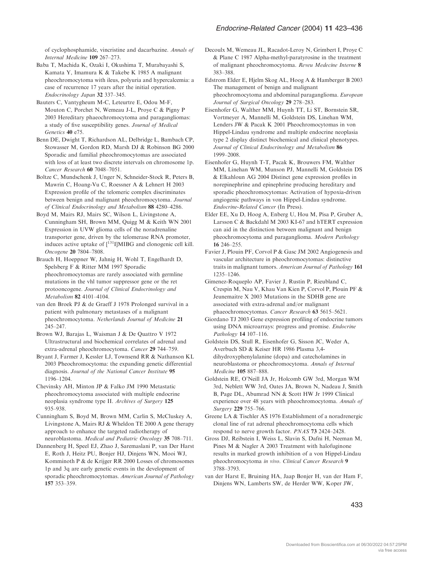of cyclophosphamide, vincristine and dacarbazine. Annals of Internal Medicine 109 267–273.

Baba T, Machida K, Ozaki I, Okushima T, Murabayashi S, Kamata Y, Imamura K & Takebe K 1985 A malignant pheochromocytoma with ileus, polyuria and hypercalcemia: a case of recurrence 17 years after the initial operation. Endocrinology Japan 32 337–345.

Bauters C, Vantygheum M-C, Leteurtre E, Odou M-F, Mouton C, Porchet N, Wemeau J-L, Proye C & Pigny P 2003 Hereditary phaeochromocytoma and paragangliomas: a study of five susceptibility genes. Journal of Medical Genetics 40 e75.

Benn DE, Dwight T, Richardson AL, Delbridge L, Bambach CP, Stowasser M, Gordon RD, Marsh DJ & Robinson BG 2000 Sporadic and familial pheochromocytomas are associated with loss of at least two discrete intervals on chromosome 1p. Cancer Research 60 7048–7051.

Boltze C, Mundschenk J, Unger N, Schneider-Stock R, Peters B, Mawrin C, Hoang-Vu C, Roessner A & Lehnert H 2003 Expression profile of the telomeric complex discriminates between benign and malignant pheochromocytoma. Journal of Clinical Endocrinology and Metabolism 88 4280–4286.

Boyd M, Mairs RJ, Mairs SC, Wilson L, Livingstone A, Cunningham SH, Brown MM, Quigg M & Keith WN 2001 Expression in UVW glioma cells of the noradrenaline transporter gene, driven by the telomerase RNA promoter, induces active uptake of  $[$ <sup>131</sup>I]MIBG and clonogenic cell kill. Oncogene 20 7804–7808.

Brauch H, Hoeppner W, Jahnig H, Wohl T, Engelhardt D, Spelsberg F & Ritter MM 1997 Sporadic pheochromocytomas are rarely associated with germline mutations in the vhl tumor suppressor gene or the ret protooncogene. Journal of Clinical Endocrinology and Metabolism 82 4101–4104.

van den Broek PJ & de Graeff J 1978 Prolonged survival in a patient with pulmonary metastases of a malignant pheochromocytoma. Netherlands Journal of Medicine 21 245–247.

Brown WJ, Barajas L, Waisman J & De Quattro V 1972 Ultrastructural and biochemical correlates of adrenal and extra-adrenal pheochromocytoma. Cancer 29 744–759.

Bryant J, Farmer J, Kessler LJ, Townsend RR & Nathanson KL 2003 Pheochromocytoma: the expanding genetic differential diagnosis. Journal of the National Cancer Institute 95 1196–1204.

Chevinsky AH, Minton JP & Falko JM 1990 Metastatic pheochromocytoma associated with multiple endocrine neoplasia syndrome type II. Archives of Surgery 125 935–938.

Cunningham S, Boyd M, Brown MM, Carlin S, McCluskey A, Livingstone A, Mairs RJ & Wheldon TE 2000 A gene therapy approach to enhance the targeted radiotherapy of neuroblastoma. Medical and Pediatric Oncology 35 708–711.

Dannenberg H, Speel EJ, Zhao J, Saremaslani P, van Der Harst E, Roth J, Heitz PU, Bonjer HJ, Dinjens WN, Mooi WJ, Komminoth P & de Krijger RR 2000 Losses of chromosomes 1p and 3q are early genetic events in the development of sporadic pheochromocytomas. American Journal of Pathology 157 353–359.

Decoulx M, Wemeau JL, Racadot-Leroy N, Grimbert I, Proye C & Plane C 1987 Alpha-methyl-paratyrosine in the treatment of malignant pheochromocytoma. Reveu Medecine Interne 8 383–388.

Edstrom Elder E, Hjelm Skog AL, Hoog A & Hamberger B 2003 The management of benign and malignant pheochromocytoma and abdominal paraganglioma. European Journal of Surgical Oncology 29 278–283.

Eisenhofer G, Walther MM, Huynh TT, Li ST, Bornstein SR, Vortmeyer A, Mannelli M, Goldstein DS, Linehan WM, Lenders JW & Pacak K 2001 Pheochromocytomas in von Hippel-Lindau syndrome and multiple endocrine neoplasia type 2 display distinct biochemical and clinical phenotypes. Journal of Clinical Endocrinology and Metabolism 86 1999–2008.

Eisenhofer G, Huynh T-T, Pacak K, Brouwers FM, Walther MM, Linehan WM, Munson PJ, Mannelli M, Goldstein DS & Elkahloun AG 2004 Distinct gene expression profiles in norepinephrine and epinephrine producing hereditary and sporadic pheochromocytomas: Activation of hypoxia-driven angiogenic pathways in von Hippel-Lindau syndrome. Endocrine-Related Cancer (In Press).

Elder EE, Xu D, Hoog A, Enberg U, Hou M, Pisa P, Gruber A, Larsson C & Backdahl M 2003 KI-67 and hTERT expression can aid in the distinction between malignant and benign pheochromocytoma and paraganglioma. Modern Pathology 16 246–255.

Favier J, Plouin PF, Corvol P & Gasc JM 2002 Angiogenesis and vascular architecture in pheochromocytomas: distinctive traits in malignant tumors. American Journal of Pathology 161 1235–1246.

Gimenez-Roqueplo AP, Favier J, Rustin P, Rieubland C, Crespin M, Nau V, Khau Van Kien P, Corvol P, Plouin PF & Jeunemaitre X 2003 Mutations in the SDHB gene are associated with extra-adrenal and/or malignant phaeochromocytomas. Cancer Research 63 5615–5621.

Giordano TJ 2003 Gene expression profiling of endocrine tumors using DNA microarrays: progress and promise. Endocrine Pathology 14 107–116.

Goldstein DS, Stull R, Eisenhofer G, Sisson JC, Weder A, Averbuch SD & Keiser HR 1986 Plasma 3,4 dihydroxyphenylalanine (dopa) and catecholamines in neuroblastoma or pheochromocytoma. Annals of Internal Medicine 105 887–888.

Goldstein RE, O'Neill JA Jr, Holcomb GW 3rd, Morgan WM 3rd, Neblett WW 3rd, Oates JA, Brown N, Nadeau J, Smith B, Page DL, Abumrad NN & Scott HW Jr 1999 Clinical experience over 48 years with pheochromocytoma. Annals of Surgery 229 755–766.

Greene LA & Tischler AS 1976 Establishment of a noradrenergic clonal line of rat adrenal pheochromocytoma cells which respond to nerve growth factor. PNAS 73 2424–2428.

Gross DJ, Reibstein I, Weiss L, Slavin S, Dafni H, Neeman M, Pines M & Nagler A 2003 Treatment with halofuginone results in marked growth inhibition of a von Hippel-Lindau pheochromocytoma in vivo. Clinical Cancer Research 9 3788–3793.

van der Harst E, Bruining HA, Jaap Bonjer H, van der Ham F, Dinjens WN, Lamberts SW, de Herder WW, Koper JW,

433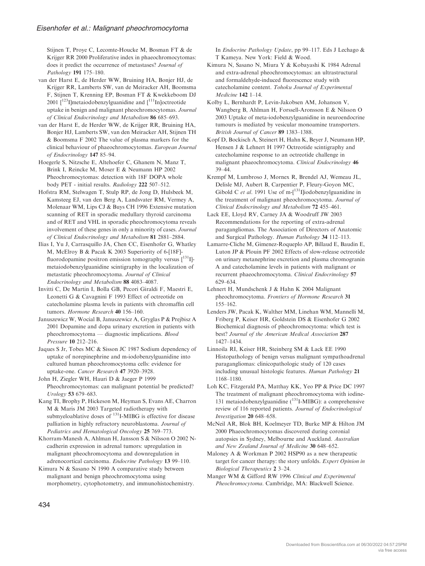Stijnen T, Proye C, Lecomte-Houcke M, Bosman FT & de Krijger RR 2000 Proliferative index in phaeochromocytomas: does it predict the occurrence of metastases? Journal of Pathology 191 175–180.

van der Harst E, de Herder WW, Bruining HA, Bonjer HJ, de Krijger RR, Lamberts SW, van de Meiracker AH, Boomsma F, Stijnen T, Krenning EP, Bosman FT & Kwekkeboom DJ 2001  $\int_1^{123}$ Ilmetaiodobenzylguanidine and  $\int_1^{111}$ Inloctreotide uptake in benign and malignant pheochromocytomas. Journal of Clinical Endocrinology and Metabolism 86 685–693.

van der Harst E, de Herder WW, de Krijger RR, Bruining HA, Bonjer HJ, Lamberts SW, van den Meiracker AH, Stijnen TH & Boomsma F 2002 The value of plasma markers for the clinical behaviour of phaeochromocytomas. European Journal of Endocrinology 147 85–94.

Hoegerle S, Nitzsche E, Altehoefer C, Ghanem N, Manz T, Brink I, Reincke M, Moser E & Neumann HP 2002 Pheochromocytomas: detection with 18F DOPA whole body PET - initial results. Radiology 222 507–512.

Hofstra RM, Stelwagen T, Stulp RP, de Jong D, Hulsbeek M, Kamsteeg EJ, van den Berg A, Landsvater RM, Vermey A, Molenaar WM, Lips CJ & Buys CH 1996 Extensive mutation scanning of RET in sporadic medullary thyroid carcinoma and of RET and VHL in sporadic pheochromocytoma reveals involvement of these genes in only a minority of cases. Journal of Clinical Endocrinology and Metabolism 81 2881–2884.

Ilias I, Yu J, Carrasquillo JA, Chen CC, Eisenhofer G, Whatley M, McElroy B & Pacak K 2003 Superiority of 6-[18F] fluorodopamine positron emission tomography versus [131]metaiodobenzylguanidine scintigraphy in the localization of metastatic pheochromocytoma. Journal of Clinical Endocrinology and Metabolism 88 4083–4087.

Invitti C, De Martin I, Bolla GB, Pecori Giraldi F, Maestri E, Leonetti G & Cavagnini F 1993 Effect of octreotide on catecholamine plasma levels in patients with chromaffin cell tumors. Hormone Research 40 156–160.

Januszewicz W, Wocial B, Januszewicz A, Gryglas P & Prejbisz A 2001 Dopamine and dopa urinary excretion in patients with pheochromocytoma — diagnostic implications. Blood Pressure 10 212–216.

Jaques S Jr, Tobes MC & Sisson JC 1987 Sodium dependency of uptake of norepinephrine and m-iodobenzylguanidine into cultured human pheochromocytoma cells: evidence for uptake-one. Cancer Research 47 3920–3928.

John H, Ziegler WH, Hauri D & Jaeger P 1999 Pheochromocytomas: can malignant potential be predicted? Urology 53 679–683.

Kang TI, Brophy P, Hickeson M, Heyman S, Evans AE, Charron M & Maris JM 2003 Targeted radiotherapy with submyeloablative doses of <sup>131</sup>I-MIBG is effective for disease palliation in highly refractory neuroblastoma. Journal of Pediatrics and Hematological Oncology 25 769-773.

Khorram-Manesh A, Ahlman H, Jansson S & Nilsson O 2002 Ncadherin expression in adrenal tumors: upregulation in malignant pheochromocytoma and downregulation in adrenocortical carcinoma. Endocrine Pathology 13 99–110.

Kimura N & Sasano N 1990 A comparative study between malignant and benign pheochromocytoma using morphometry, cytophotometry, and immunohistochemistry. In Endocrine Pathology Update, pp 99–117. Eds J Lechago & T Kameya. New York: Field & Wood.

- Kimura N, Sasano N, Miura Y & Kobayashi K 1984 Adrenal and extra-adrenal pheochromocytomas: an ultrastructural and formaldehyde-induced fluorescence study with catecholamine content. Tohoku Journal of Experimental Medicine 142 1–14.
- Kolby L, Bernhardt P, Levin-Jakobsen AM, Johanson V, Wangberg B, Ahlman H, Forssell-Aronsson E & Nilsson O 2003 Uptake of meta-iodobenzylguanidine in neuroendocrine tumours is mediated by vesicular monoamine transporters. British Journal of Cancer 89 1383–1388.
- Kopf D, Bockisch A, Steinert H, Hahn K, Beyer J, Neumann HP, Hensen J & Lehnert H 1997 Octreotide scintigraphy and catecholamine response to an octreotide challenge in malignant phaeochromocytoma. Clinical Endocrinology 46 39–44.

Krempf M, Lumbroso J, Mornex R, Brendel AJ, Wemeau JL, Delisle MJ, Aubert B, Carpentier P, Fleury-Goyon MC, Gibold C et al. 1991 Use of m-[<sup>131</sup>I]iodobenzylguanidine in the treatment of malignant pheochromocytoma. Journal of Clinical Endocrinology and Metabolism 72 455–461.

Lack EE, Lloyd RV, Carney JA & Woodruff JW 2003 Recommendations for the reporting of extra-adrenal paragangliomas. The Association of Directors of Anatomic and Surgical Pathology. Human Pathology 34 112–113.

- Lamarre-Cliche M, Gimenez-Roqueplo AP, Billaud E, Baudin E, Luton JP & Plouin PF 2002 Effects of slow-release octreotide on urinary metanephrine excretion and plasma chromogranin A and catecholamine levels in patients with malignant or recurrent phaeochromocytoma. Clinical Endocrinology 57 629–634.
- Lehnert H, Mundschenk J & Hahn K 2004 Malignant pheochromocytoma. Frontiers of Hormone Research 31 155–162.
- Lenders JW, Pacak K, Walther MM, Linehan WM, Mannelli M, Friberg P, Keiser HR, Goldstein DS & Eisenhofer G 2002 Biochemical diagnosis of pheochromocytoma: which test is best? Journal of the American Medical Association 287 1427–1434.
- Linnoila RI, Keiser HR, Steinberg SM & Lack EE 1990 Histopathology of benign versus malignant sympathoadrenal paragangliomas: clinicopathologic study of 120 cases including unusual histologic features. Human Pathology 21 1168–1180.
- Loh KC, Fitzgerald PA, Matthay KK, Yeo PP & Price DC 1997 The treatment of malignant pheochromocytoma with iodine-131 metaiodobenzylguanidine (131I-MIBG): a comprehensive review of 116 reported patients. Journal of Endocrinological Investigation 20 648–658.
- McNeil AR, Blok BH, Koelmeyer TD, Burke MP & Hilton JM 2000 Phaeochromocytomas discovered during coronial autopsies in Sydney, Melbourne and Auckland. Australian and New Zealand Journal of Medicine 30 648–652.
- Maloney A & Workman P 2002 HSP90 as a new therapeutic target for cancer therapy: the story unfolds. Expert Opinion in Biological Therapeutics 2 3–24.
- Manger WM & Gifford RW 1996 Clinical and Experimental Pheochromocytoma. Cambridge, MA: Blackwell Science.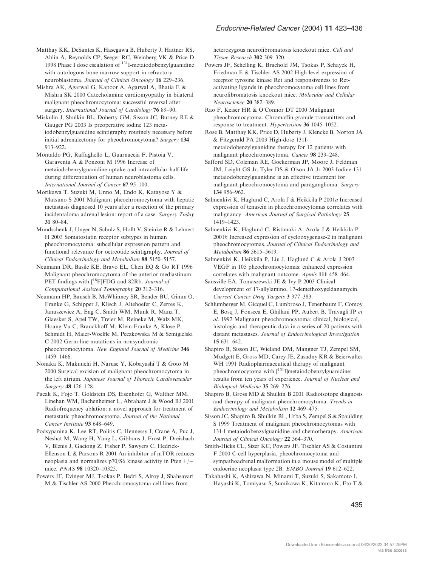Matthay KK, DeSantes K, Hasegawa B, Huberty J, Hattner RS, Ablin A, Reynolds CP, Seeger RC, Weinberg VK & Price D 1998 Phase I dose escalation of 131I-metaiodobenzylguanidine with autologous bone marrow support in refractory neuroblastoma. Journal of Clinical Oncology 16 229–236.

Mishra AK, Agarwal G, Kapoor A, Agarwal A, Bhatia E & Mishra SK 2000 Catecholamine cardiomyopathy in bilateral malignant pheochromocytoma: successful reversal after surgery. International Journal of Cardiology 76 89-90.

Miskulin J, Shulkin BL, Doherty GM, Sisson JC, Burney RE & Gauger PG 2003 Is preoperative iodine 123 metaiodobenzylguanidine scintigraphy routinely necessary before initial adrenalectomy for pheochromocytoma? Surgery 134 913–922.

Montaldo PG, Raffaghello L, Guarnaccia F, Pistoia V, Garaventa A & Ponzoni M 1996 Increase of metaiodobenzylguanidine uptake and intracellular half-life during differentiation of human neuroblastoma cells. International Journal of Cancer 67 95-100.

Morikawa T, Suzuki M, Unno M, Endo K, Katayose Y & Matsuno S 2001 Malignant pheochromocytoma with hepatic metastasis diagnosed 10 years after a resection of the primary incidentaloma adrenal lesion: report of a case. Surgery Today 31 80–84.

Mundschenk J, Unger N, Schulz S, Hollt V, Steinke R & Lehnert H 2003 Somatostatin receptor subtypes in human pheochromocytoma: subcellular expression pattern and functional relevance for octreotide scintigraphy. Journal of Clinical Endocrinology and Metabolism 88 5150–5157.

Neumann DR, Basile KE, Bravo EL, Chen EQ & Go RT 1996 Malignant pheochromocytoma of the anterior mediastinum: PET findings with [<sup>18</sup>F]FDG and 82Rb. Journal of Computational Assisted Tomography 20 312–316.

Neumann HP, Bausch B, McWhinney SR, Bender BU, Gimm O, Franke G, Schipper J, Klisch J, Altehoefer C, Zerres K, Januszewicz A, Eng C, Smith WM, Munk R, Manz T, Glaesker S, Apel TW, Treier M, Reineke M, Walz MK, Hoang-Vu C, Brauckhoff M, Klein-Franke A, Klose P, Schmidt H, Maier-Woelfle M, Peczkowska M & Szmigielski C 2002 Germ-line mutations in nonsyndromic pheochromocytoma. New England Journal of Medicine 346 1459–1466.

Nonaka K, Makuuchi H, Naruse Y, Kobayashi T & Goto M 2000 Surgical excision of malignant pheochromocytoma in the left atrium. Japanese Journal of Thoracic Cardiovascular Surgery 48 126–128.

Pacak K, Fojo T, Goldstein DS, Eisenhofer G, Walther MM, Linehan WM, Bachenheimer L, Abraham J & Wood BJ 2001 Radiofrequency ablation: a novel approach for treatment of metastatic pheochromocytoma. Journal of the National Cancer Institute 93 648–649.

Podsypanina K, Lee RT, Politis C, Hennessy I, Crane A, Puc J, Neshat M, Wang H, Yang L, Gibbons J, Frost P, Dreisbach V, Blenis J, Gaciong Z, Fisher P, Sawyers C, Hedrick-Ellenson L & Parsons R 2001 An inhibitor of mTOR reduces neoplasia and normalizes  $p70/S6$  kinase activity in Pten +/mice. PNAS 98 10320–10325.

Powers JF, Evinger MJ, Tsokas P, Bedri S, Alroy J, Shahsavari M & Tischler AS 2000 Pheochromocytoma cell lines from

heterozygous neurofibromatosis knockout mice. Cell and Tissue Research 302 309–320.

Powers JF, Schelling K, Brachold JM, Tsokas P, Schayek H, Friedman E & Tischler AS 2002 High-level expression of receptor tyrosine kinase Ret and responsiveness to Retactivating ligands in pheochromocytoma cell lines from neurofibromatosis knockout mice. Molecular and Cellular Neuroscience 20 382–389.

Rao F, Keiser HR & O'Connor DT 2000 Malignant pheochromocytoma. Chromaffin granule transmitters and response to treatment. Hypertension 36 1045–1052.

Rose B, Matthay KK, Price D, Huberty J, Klencke B, Norton JA & Fitzgerald PA 2003 High-dose 131Imetaiodobenzylguanidine therapy for 12 patients with malignant pheochromocytoma. Cancer 98 239–248.

Safford SD, Coleman RE, Gockerman JP, Moore J, Feldman JM, Leight GS Jr, Tyler DS & Olson JA Jr 2003 Iodine-131 metaiodobenzylguanidine is an effective treatment for malignant pheochromocytoma and paraganglioma. Surgery 134 956–962.

Salmenkivi K, Haglund C, Arola J & Heikkila P 2001a Increased expression of tenascin in pheochromocytomas correlates with malignancy. American Journal of Surgical Pathology 25 1419–1423.

Salmenkivi K, Haglund C, Ristimaki A, Arola J & Heikkila P 2001b Increased expression of cyclooxygenase-2 in malignant pheochromocytomas. Journal of Clinical Endocrinology and Metabolism 86 5615–5619.

Salmenkivi K, Heikkila P, Liu J, Haglund C & Arola J 2003 VEGF in 105 pheochromocytomas: enhanced expression correlates with malignant outcome. Apmis 111 458–464.

Sausville EA, Tomaszewski JE & Ivy P 2003 Clinical development of 17-allylamino, 17-demethoxygeldanamycin. Current Cancer Drug Targets 3 377–383.

Schlumberger M, Gicquel C, Lumbroso J, Tenenbaum F, Comoy E, Bosq J, Fonseca E, Ghillani PP, Aubert B, Travagli JP et al. 1992 Malignant pheochromocytoma: clinical, biological, histologic and therapeutic data in a series of 20 patients with distant metastases. Journal of Endocrinological Investigation 15 631–642.

Shapiro B, Sisson JC, Wieland DM, Mangner TJ, Zempel SM, Mudgett E, Gross MD, Carey JE, Zasadny KR & Beierwaltes WH 1991 Radiopharmaceutical therapy of malignant pheochromocytoma with  $\int_1^{131}$ I]metaiodobenzylguanidine: results from ten years of experience. Journal of Nuclear and Biological Medicine 35 269–276.

Shapiro B, Gross MD & Shulkin B 2001 Radioisotope diagnosis and therapy of malignant pheochromocytoma. Trends in Endocrinology and Metabolism 12 469–475.

Sisson JC, Shapiro B, Shulkin BL, Urba S, Zempel S & Spaulding S 1999 Treatment of malignant pheochromocytomas with 131-I metaiodobenzylguanidine and chemotherapy. American Journal of Clinical Oncology 22 364–370.

Smith-Hicks CL, Sizer KC, Powers JF, Tischler AS & Costantini F 2000 C-cell hyperplasia, pheochromocytoma and sympathoadrenal malformation in a mouse model of multiple endocrine neoplasia type 2B. EMBO Journal 19 612–622.

Takahashi K, Ashizawa N, Minami T, Suzuki S, Sakamoto I, Hayashi K, Tomiyasu S, Sumikawa K, Kitamura K, Eto T &